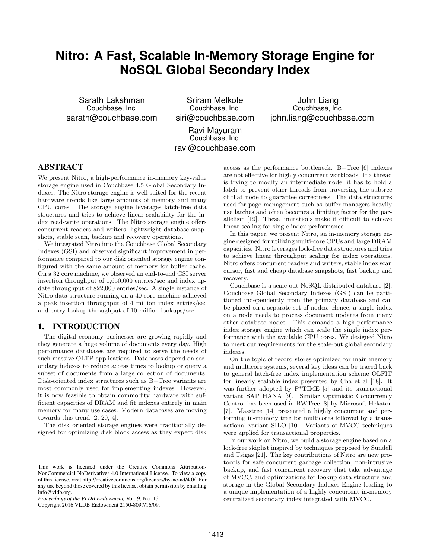# **Nitro: A Fast, Scalable In-Memory Storage Engine for NoSQL Global Secondary Index**

Sarath Lakshman Couchbase, Inc. sarath@couchbase.com

Sriram Melkote Couchbase, Inc. siri@couchbase.com

John Liang Couchbase, Inc. john.liang@couchbase.com

Ravi Mayuram Couchbase, Inc. ravi@couchbase.com

# ABSTRACT

We present Nitro, a high-performance in-memory key-value storage engine used in Couchbase 4.5 Global Secondary Indexes. The Nitro storage engine is well suited for the recent hardware trends like large amounts of memory and many CPU cores. The storage engine leverages latch-free data structures and tries to achieve linear scalability for the index read-write operations. The Nitro storage engine offers concurrent readers and writers, lightweight database snapshots, stable scan, backup and recovery operations.

We integrated Nitro into the Couchbase Global Secondary Indexes (GSI) and observed significant improvement in performance compared to our disk oriented storage engine configured with the same amount of memory for buffer cache. On a 32 core machine, we observed an end-to-end GSI server insertion throughput of 1,650,000 entries/sec and index update throughput of 822,000 entries/sec. A single instance of Nitro data structure running on a 40 core machine achieved a peak insertion throughput of 4 million index entries/sec and entry lookup throughput of 10 million lookups/sec.

# 1. INTRODUCTION

The digital economy businesses are growing rapidly and they generate a huge volume of documents every day. High performance databases are required to serve the needs of such massive OLTP applications. Databases depend on secondary indexes to reduce access times to lookup or query a subset of documents from a large collection of documents. Disk-oriented index structures such as B+Tree variants are most commonly used for implementing indexes. However, it is now feasible to obtain commodity hardware with sufficient capacities of DRAM and fit indexes entirely in main memory for many use cases. Modern databases are moving towards this trend [2, 20, 4].

The disk oriented storage engines were traditionally designed for optimizing disk block access as they expect disk

Copyright 2016 VLDB Endowment 2150-8097/16/09.

access as the performance bottleneck. B+Tree [6] indexes are not effective for highly concurrent workloads. If a thread is trying to modify an intermediate node, it has to hold a latch to prevent other threads from traversing the subtree of that node to guarantee correctness. The data structures used for page management such as buffer managers heavily use latches and often becomes a limiting factor for the parallelism [19]. These limitations make it difficult to achieve linear scaling for single index performance.

In this paper, we present Nitro, an in-memory storage engine designed for utilizing multi-core CPUs and large DRAM capacities. Nitro leverages lock-free data structures and tries to achieve linear throughput scaling for index operations. Nitro offers concurrent readers and writers, stable index scan cursor, fast and cheap database snapshots, fast backup and recovery.

Couchbase is a scale-out NoSQL distributed database [2]. Couchbase Global Secondary Indexes (GSI) can be partitioned independently from the primary database and can be placed on a separate set of nodes. Hence, a single index on a node needs to process document updates from many other database nodes. This demands a high-performance index storage engine which can scale the single index performance with the available CPU cores. We designed Nitro to meet our requirements for the scale-out global secondary indexes.

On the topic of record stores optimized for main memory and multicore systems, several key ideas can be traced back to general latch-free index implementation scheme OLFIT for linearly scalable index presented by Cha et al [18]. It was further adopted by P\*TIME [5] and its transactional variant SAP HANA [9]. Similar Optimistic Concurrency Control has been used in BWTree [8] by Microsoft Hekaton [7]. Masstree [14] presented a highly concurrent and performing in-memory tree for multicores followed by a transactional variant SILO [10]. Variants of MVCC techniques were applied for transactional properties.

In our work on Nitro, we build a storage engine based on a lock-free skiplist inspired by techniques proposed by Sundell and Tsigas [21]. The key contributions of Nitro are new protocols for safe concurrent garbage collection, non-intrusive backup, and fast concurrent recovery that take advantage of MVCC, and optimizations for lookup data structure and storage in the Global Secondary Indexes Engine leading to a unique implementation of a highly concurrent in-memory centralized secondary index integrated with MVCC.

This work is licensed under the Creative Commons Attribution-NonCommercial-NoDerivatives 4.0 International License. To view a copy of this license, visit http://creativecommons.org/licenses/by-nc-nd/4.0/. For any use beyond those covered by this license, obtain permission by emailing info@vldb.org.

*Proceedings of the VLDB Endowment,* Vol. 9, No. 13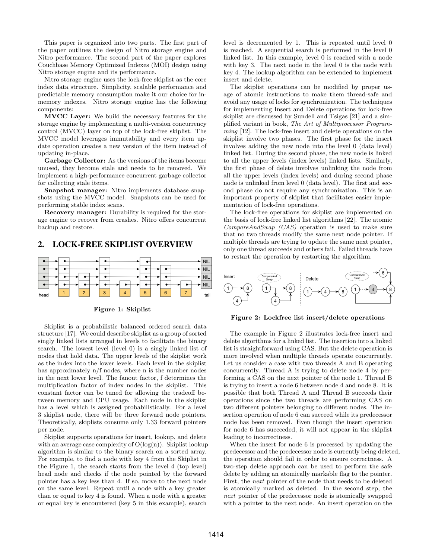This paper is organized into two parts. The first part of the paper outlines the design of Nitro storage engine and Nitro performance. The second part of the paper explores Couchbase Memory Optimized Indexes (MOI) design using Nitro storage engine and its performance.

Nitro storage engine uses the lock-free skiplist as the core index data structure. Simplicity, scalable performance and predictable memory consumption make it our choice for inmemory indexes. Nitro storage engine has the following components:

**MVCC Layer:** We build the necessary features for the storage engine by implementing a multi-version concurrency control (MVCC) layer on top of the lock-free skiplist. The MVCC model leverages immutability and every item update operation creates a new version of the item instead of updating in-place.

**Garbage Collector:** As the versions of the items become unused, they become stale and needs to be removed. We implement a high-performance concurrent garbage collector for collecting stale items.

**Snapshot manager:** Nitro implements database snapshots using the MVCC model. Snapshots can be used for performing stable index scans.

**Recovery manager:** Durability is required for the storage engine to recover from crashes. Nitro offers concurrent backup and restore.

# 2. LOCK-FREE SKIPLIST OVERVIEW





Skiplist is a probabilistic balanced ordered search data structure [17]. We could describe skiplist as a group of sorted singly linked lists arranged in levels to facilitate the binary search. The lowest level (level 0) is a singly linked list of nodes that hold data. The upper levels of the skiplist work as the index into the lower levels. Each level in the skiplist has approximately  $n/f$  nodes, where n is the number nodes in the next lower level. The fanout factor, f determines the multiplication factor of index nodes in the skiplist. This constant factor can be tuned for allowing the tradeoff between memory and CPU usage. Each node in the skiplist has a level which is assigned probabilistically. For a level 3 skiplist node, there will be three forward node pointers. Theoretically, skiplists consume only 1.33 forward pointers per node.

Skiplist supports operations for insert, lookup, and delete with an average case complexity of  $O(log(n))$ . Skiplist lookup algorithm is similar to the binary search on a sorted array. For example, to find a node with key 4 from the Skiplist in the Figure 1, the search starts from the level 4 (top level) head node and checks if the node pointed by the forward pointer has a key less than 4. If so, move to the next node on the same level. Repeat until a node with a key greater than or equal to key 4 is found. When a node with a greater or equal key is encountered (key 5 in this example), search

level is decremented by 1. This is repeated until level 0 is reached. A sequential search is performed in the level 0 linked list. In this example, level 0 is reached with a node with key 3. The next node in the level 0 is the node with key 4. The lookup algorithm can be extended to implement insert and delete.

The skiplist operations can be modified by proper usage of atomic instructions to make them thread-safe and avoid any usage of locks for synchronization. The techniques for implementing Insert and Delete operations for lock-free skiplist are discussed by Sundell and Tsigas [21] and a simplified variant in book, *The Art of Multiprocessor Programming* [12]. The lock-free insert and delete operations on the skiplist involve two phases. The first phase for the insert involves adding the new node into the level 0 (data level) linked list. During the second phase, the new node is linked to all the upper levels (index levels) linked lists. Similarly, the first phase of delete involves unlinking the node from all the upper levels (index levels) and during second phase node is unlinked from level 0 (data level). The first and second phase do not require any synchronization. This is an important property of skiplist that facilitates easier implementation of lock-free operations.

The lock-free operations for skiplist are implemented on the basis of lock-free linked list algorithms [22]. The atomic *CompareAndSwap (CAS)* operation is used to make sure that no two threads modify the same next node pointer. If multiple threads are trying to update the same next pointer, only one thread succeeds and others fail. Failed threads have to restart the operation by restarting the algorithm.



**Figure 2: Lockfree list insert/delete operations**

The example in Figure 2 illustrates lock-free insert and delete algorithms for a linked list. The insertion into a linked list is straightforward using CAS. But the delete operation is more involved when multiple threads operate concurrently. Let us consider a case with two threads A and B operating concurrently. Thread A is trying to delete node 4 by performing a CAS on the next pointer of the node 1. Thread B is trying to insert a node 6 between node 4 and node 8. It is possible that both Thread A and Thread B succeeds their operations since the two threads are performing CAS on two different pointers belonging to different nodes. The insertion operation of node 6 can succeed while its predecessor node has been removed. Even though the insert operation for node 6 has succeeded, it will not appear in the skiplist leading to incorrectness.

When the insert for node 6 is processed by updating the predecessor and the predecessor node is currently being deleted, the operation should fail in order to ensure correctness. A two-step delete approach can be used to perform the safe delete by adding an atomically markable flag to the pointer. First, the *next* pointer of the node that needs to be deleted is atomically marked as deleted. In the second step, the *next* pointer of the predecessor node is atomically swapped with a pointer to the next node. An insert operation on the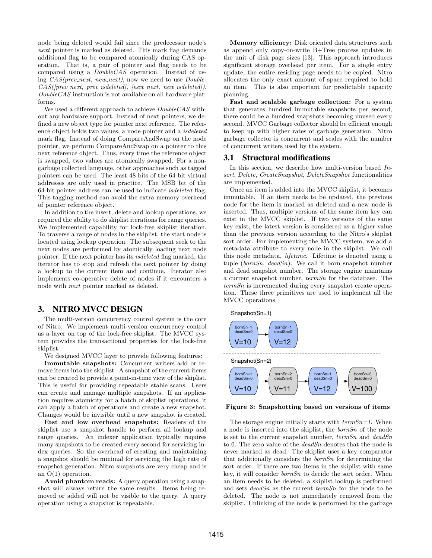node being deleted would fail since the predecessor node's *next* pointer is marked as deleted. This mark flag demands additional flag to be compared atomically during CAS operation. That is, a pair of pointer and flag needs to be compared using a *DoubleCAS* operation. Instead of using *CAS(prev next, new next)*, now we need to use *Double-CAS([prev next, prev isdeleted], [new next, new isdeleted])*. *DoubleCAS* instruction is not available on all hardware platforms.

We used a different approach to achieve *DoubleCAS* without any hardware support. Instead of next pointers, we defined a new object type for pointer next reference. The reference object holds two values, a node pointer and a *isdeleted* mark flag. Instead of doing CompareAndSwap on the node pointer, we perform CompareAndSwap on a pointer to this next reference object. Thus, every time the reference object is swapped, two values are atomically swapped. For a nongarbage collected language, other approaches such as tagged pointers can be used. The least 48 bits of the 64-bit virtual addresses are only used in practice. The MSB bit of the 64-bit pointer address can be used to indicate *isdeleted* flag. This tagging method can avoid the extra memory overhead of pointer reference object.

In addition to the insert, delete and lookup operations, we required the ability to do skiplist iterations for range queries. We implemented capability for lock-free skiplist iteration. To traverse a range of nodes in the skiplist, the start node is located using lookup operation. The subsequent seek to the next nodes are performed by atomically loading next node pointer. If the next pointer has its *isdeleted* flag marked, the iterator has to stop and refresh the next pointer by doing a lookup to the current item and continue. Iterator also implements co-operative delete of nodes if it encounters a node with *next* pointer marked as deleted.

### 3. NITRO MVCC DESIGN

The multi-version concurrency control system is the core of Nitro. We implement multi-version concurrency control as a layer on top of the lock-free skiplist. The MVCC system provides the transactional properties for the lock-free skiplist.

We designed MVCC layer to provide following features:

**Immutable snapshots:** Concurrent writers add or remove items into the skiplist. A snapshot of the current items can be created to provide a point-in-time view of the skiplist. This is useful for providing repeatable stable scans. Users can create and manage multiple snapshots. If an application requires atomicity for a batch of skiplist operations, it can apply a batch of operations and create a new snapshot. Changes would be invisible until a new snapshot is created.

**Fast and low overhead snapshots:** Readers of the skiplist use a snapshot handle to perform all lookup and range queries. An indexer application typically requires many snapshots to be created every second for servicing index queries. So the overhead of creating and maintaining a snapshot should be minimal for servicing the high rate of snapshot generation. Nitro snapshots are very cheap and is an O(1) operation.

**Avoid phantom reads:** A query operation using a snapshot will always return the same results. Items being removed or added will not be visible to the query. A query operation using a snapshot is repeatable.

**Memory efficiency:** Disk oriented data structures such as append only copy-on-write B+Tree process updates in the unit of disk page sizes [13]. This approach introduces significant storage overhead per item. For a single entry update, the entire residing page needs to be copied. Nitro allocates the only exact amount of space required to hold an item. This is also important for predictable capacity planning.

**Fast and scalable garbage collection:** For a system that generates hundred immutable snapshots per second, there could be a hundred snapshots becoming unused every second. MVCC Garbage collector should be efficient enough to keep up with higher rates of garbage generation. Nitro garbage collector is concurrent and scales with the number of concurrent writers used by the system.

#### 3.1 Structural modifications

In this section, we describe how multi-version based *Insert*, *Delete*, *CreateSnapshot*, *DeleteSnapshot* functionalities are implemented.

Once an item is added into the MVCC skiplist, it becomes immutable. If an item needs to be updated, the previous node for the item is marked as deleted and a new node is inserted. Thus, multiple versions of the same item key can exist in the MVCC skiplist. If two versions of the same key exist, the latest version is considered as a higher value than the previous version according to the Nitro's skiplist sort order. For implementing the MVCC system, we add a metadata attribute to every node in the skiplist. We call this node metadata, *lifetime*. Lifetime is denoted using a tuple (*bornSn, deadSn*). We call it born snapshot number and dead snapshot number. The storage engine maintains a current snapshot number, *termSn* for the database. The *termSn* is incremented during every snapshot create operation. These three primitives are used to implement all the MVCC operations.





**Figure 3: Snapshotting based on versions of items**

The storage engine initially starts with *termSn=1*. When a node is inserted into the skiplist, the *bornSn* of the node is set to the current snapshot number, *termSn* and *deadSn* to 0. The zero value of the *deadSn* denotes that the node is never marked as dead. The skiplist uses a key comparator that additionally considers the *bornSn* for determining the sort order. If there are two items in the skiplist with same key, it will consider *bornSn* to decide the sort order. When an item needs to be deleted, a skiplist lookup is performed and sets *deadSn* as the current *termSn* for the node to be deleted. The node is not immediately removed from the skiplist. Unlinking of the node is performed by the garbage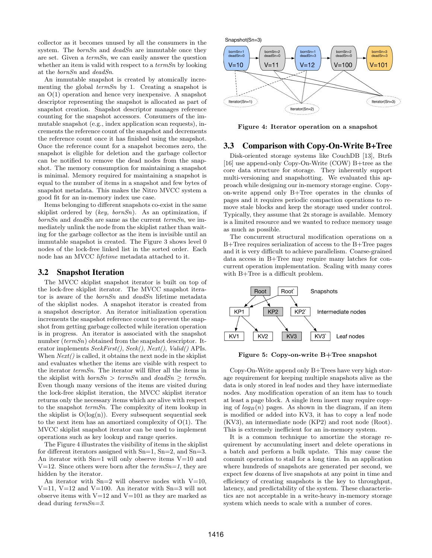collector as it becomes unused by all the consumers in the system. The *bornSn* and *deadSn* are immutable once they are set. Given a *termSn*, we can easily answer the question whether an item is valid with respect to a *termSn* by looking at the *bornSn* and *deadSn*.

An immutable snapshot is created by atomically incrementing the global *termSn* by 1. Creating a snapshot is an  $O(1)$  operation and hence very inexpensive. A snapshot descriptor representing the snapshot is allocated as part of snapshot creation. Snapshot descriptor manages reference counting for the snapshot accessors. Consumers of the immutable snapshot (e.g., index application scan requests), increments the reference count of the snapshot and decrements the reference count once it has finished using the snapshot. Once the reference count for a snapshot becomes zero, the snapshot is eligible for deletion and the garbage collector can be notified to remove the dead nodes from the snapshot. The memory consumption for maintaining a snapshot is minimal. Memory required for maintaining a snapshot is equal to the number of items in a snapshot and few bytes of snapshot metadata. This makes the Nitro MVCC system a good fit for an in-memory index use case.

Items belonging to different snapshots co-exist in the same skiplist ordered by (*key, bornSn*). As an optimization, if *bornSn* and *deadSn* are same as the current *termSn*, we immediately unlink the node from the skiplist rather than waiting for the garbage collector as the item is invisible until an immutable snapshot is created. The Figure 3 shows level 0 nodes of the lock-free linked list in the sorted order. Each node has an MVCC *lifetime* metadata attached to it.

#### 3.2 Snapshot Iteration

The MVCC skiplist snapshot iterator is built on top of the lock-free skiplist iterator. The MVCC snapshot iterator is aware of the *bornSn* and *deadSn* lifetime metadata of the skiplist nodes. A snapshot iterator is created from a snapshot descriptor. An iterator initialization operation increments the snapshot reference count to prevent the snapshot from getting garbage collected while iteration operation is in progress. An iterator is associated with the snapshot number (*termSn*) obtained from the snapshot descriptor. Iterator implements *SeekFirst()*, *Seek()*, *Next()*, *Valid()* APIs. When *Next()* is called, it obtains the next node in the skiplist and evaluates whether the items are visible with respect to the iterator *termSn*. The iterator will filter all the items in the skiplist with  $bornSn > termSn$  and  $deadSn > termSn$ . Even though many versions of the items are visited during the lock-free skiplist iteration, the MVCC skiplist iterator returns only the necessary items which are alive with respect to the snapshot *termSn*. The complexity of item lookup in the skiplist is  $O(log(n))$ . Every subsequent sequential seek to the next item has an amortized complexity of O(1). The MVCC skiplist snapshot iterator can be used to implement operations such as key lookup and range queries.

The Figure 4 illustrates the visibility of items in the skiplist for different iterators assigned with Sn=1, Sn=2, and Sn=3. An iterator with  $Sn=1$  will only observe items  $V=10$  and V=12. Since others were born after the *termSn=1*, they are hidden by the iterator.

An iterator with  $Sn=2$  will observe nodes with  $V=10$ , V=11, V=12 and V=100. An iterator with  $Sn=3$  will not observe items with  $V=12$  and  $V=101$  as they are marked as dead during *termSn=3*.



**Figure 4: Iterator operation on a snapshot**

## 3.3 Comparison with Copy-On-Write B+Tree

Disk-oriented storage systems like CouchDB [13], Btrfs [16] use append-only Copy-On-Write (COW) B+tree as the core data structure for storage. They inherently support multi-versioning and snapshotting. We evaluated this approach while designing our in-memory storage engine. Copyon-write append only B+Tree operates in the chunks of pages and it requires periodic compaction operations to remove stale blocks and keep the storage used under control. Typically, they assume that 2x storage is available. Memory is a limited resource and we wanted to reduce memory usage as much as possible.

The concurrent structural modification operations on a B+Tree requires serialization of access to the B+Tree pages and it is very difficult to achieve parallelism. Coarse-grained data access in B+Tree may require many latches for concurrent operation implementation. Scaling with many cores with B+Tree is a difficult problem.



**Figure 5: Copy-on-write B+Tree snapshot**

Copy-On-Write append only B+Trees have very high storage requirement for keeping multiple snapshots alive as the data is only stored in leaf nodes and they have intermediate nodes. Any modification operation of an item has to touch at least a page block. A single item insert may require copying of  $log_B(n)$  pages. As shown in the diagram, if an item is modified or added into KV3, it has to copy a leaf node (KV3), an intermediate node (KP2) and root node (Root). This is extremely inefficient for an in-memory system.

It is a common technique to amortize the storage requirement by accumulating insert and delete operations in a batch and perform a bulk update. This may cause the commit operation to stall for a long time. In an application where hundreds of snapshots are generated per second, we expect few dozens of live snapshots at any point in time and efficiency of creating snapshots is the key to throughput, latency, and predictability of the system. These characteristics are not acceptable in a write-heavy in-memory storage system which needs to scale with a number of cores.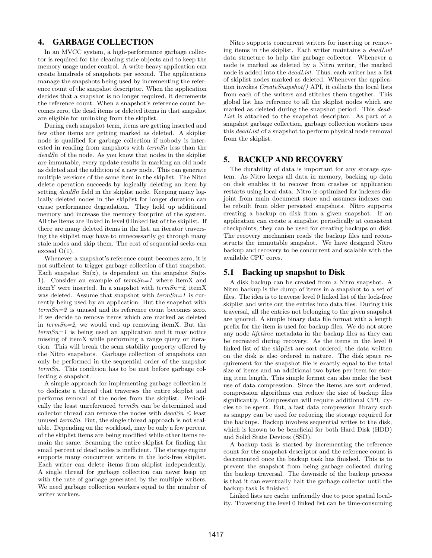# 4. GARBAGE COLLECTION

In an MVCC system, a high-performance garbage collector is required for the cleaning stale objects and to keep the memory usage under control. A write-heavy application can create hundreds of snapshots per second. The applications manage the snapshots being used by incrementing the reference count of the snapshot descriptor. When the application decides that a snapshot is no longer required, it decrements the reference count. When a snapshot's reference count becomes zero, the dead items or deleted items in that snapshot are eligible for unlinking from the skiplist.

During each snapshot term, items are getting inserted and few other items are getting marked as deleted. A skiplist node is qualified for garbage collection if nobody is interested in reading from snapshots with *termSn* less than the *deadSn* of the node. As you know that nodes in the skiplist are immutable, every update results in marking an old node as deleted and the addition of a new node. This can generate multiple versions of the same item in the skiplist. The Nitro delete operation succeeds by logically deleting an item by setting *deadSn* field in the skiplist node. Keeping many logically deleted nodes in the skiplist for longer duration can cause performance degradation. They hold up additional memory and increase the memory footprint of the system. All the items are linked in level 0 linked list of the skiplist. If there are many deleted items in the list, an iterator traversing the skiplist may have to unnecessarily go through many stale nodes and skip them. The cost of sequential seeks can exceed  $O(1)$ .

Whenever a snapshot's reference count becomes zero, it is not sufficient to trigger garbage collection of that snapshot. Each snapshot  $Sn(x)$ , is dependent on the snapshot  $Sn(x-$ 1). Consider an example of *termSn=1* where itemX and itemY were inserted. In a snapshot with *termSn=2*, itemX was deleted. Assume that snapshot with *termSn=1* is currently being used by an application. But the snapshot with *termSn=2* is unused and its reference count becomes zero. If we decide to remove items which are marked as deleted in *termSn=2*, we would end up removing itemX. But the  $termSn=1$  is being used an application and it may notice missing of itemX while performing a range query or iteration. This will break the scan stability property offered by the Nitro snapshots. Garbage collection of snapshots can only be performed in the sequential order of the snapshot *termSn*. This condition has to be met before garbage collecting a snapshot.

A simple approach for implementing garbage collection is to dedicate a thread that traverses the entire skiplist and performs removal of the nodes from the skiplist. Periodically the least unreferenced *termSn* can be determined and collector thread can remove the nodes with *deadSn ≤* least unused *termSn*. But, the single thread approach is not scalable. Depending on the workload, may be only a few percent of the skiplist items are being modified while other items remain the same. Scanning the entire skiplist for finding the small percent of dead nodes is inefficient. The storage engine supports many concurrent writers in the lock-free skiplist. Each writer can delete items from skiplist independently. A single thread for garbage collection can never keep up with the rate of garbage generated by the multiple writers. We need garbage collection workers equal to the number of writer workers.

Nitro supports concurrent writers for inserting or removing items in the skiplist. Each writer maintains a *deadList* data structure to help the garbage collector. Whenever a node is marked as deleted by a Nitro writer, the marked node is added into the *deadList*. Thus, each writer has a list of skiplist nodes marked as deleted. Whenever the application invokes *CreateSnapshot()* API, it collects the local lists from each of the writers and stitches them together. This global list has reference to all the skiplist nodes which are marked as deleted during the snapshot period. This *dead-List* is attached to the snapshot descriptor. As part of a snapshot garbage collection, garbage collection workers uses this *deadList* of a snapshot to perform physical node removal from the skiplist.

# 5. BACKUP AND RECOVERY

The durability of data is important for any storage system. As Nitro keeps all data in memory, backing up data on disk enables it to recover from crashes or application restarts using local data. Nitro is optimized for indexes disjoint from main document store and assumes indexes can be rebuilt from older persisted snapshots. Nitro supports creating a backup on disk from a given snapshot. If an application can create a snapshot periodically at consistent checkpoints, they can be used for creating backups on disk. The recovery mechanism reads the backup files and reconstructs the immutable snapshot. We have designed Nitro backup and recovery to be concurrent and scalable with the available CPU cores.

#### 5.1 Backing up snapshot to Disk

A disk backup can be created from a Nitro snapshot. A Nitro backup is the dump of items in a snapshot to a set of files. The idea is to traverse level 0 linked list of the lock-free skiplist and write out the entries into data files. During this traversal, all the entries not belonging to the given snapshot are ignored. A simple binary data file format with a length prefix for the item is used for backup files. We do not store any node *lifetime* metadata in the backup files as they can be recreated during recovery. As the items in the level 0 linked list of the skiplist are sort ordered, the data written on the disk is also ordered in nature. The disk space requirement for the snapshot file is exactly equal to the total size of items and an additional two bytes per item for storing item length. This simple format can also make the best use of data compression. Since the items are sort ordered, compression algorithms can reduce the size of backup files significantly. Compression will require additional CPU cycles to be spent. But, a fast data compression library such as snappy can be used for reducing the storage required for the backups. Backup involves sequential writes to the disk, which is known to be beneficial for both Hard Disk (HDD) and Solid State Devices (SSD).

A backup task is started by incrementing the reference count for the snapshot descriptor and the reference count is decremented once the backup task has finished. This is to prevent the snapshot from being garbage collected during the backup traversal. The downside of the backup process is that it can eventually halt the garbage collector until the backup task is finished.

Linked lists are cache unfriendly due to poor spatial locality. Traversing the level 0 linked list can be time-consuming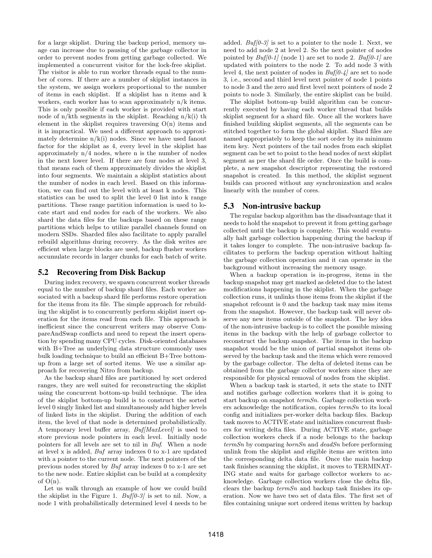for a large skiplist. During the backup period, memory usage can increase due to pausing of the garbage collector in order to prevent nodes from getting garbage collected. We implemented a concurrent visitor for the lock-free skiplist. The visitor is able to run worker threads equal to the number of cores. If there are a number of skiplist instances in the system, we assign workers proportional to the number of items in each skiplist. If a skiplist has n items and k workers, each worker has to scan approximately n/k items. This is only possible if each worker is provided with start node of  $n/k$ th segments in the skiplist. Reaching  $n/k(i)$  th element in the skiplist requires traversing  $O(n)$  items and it is impractical. We used a different approach to approximately determine  $n/k(i)$  nodes. Since we have used fanout factor for the skiplist as 4, every level in the skiplist has approximately  $n/4$  nodes, where n is the number of nodes in the next lower level. If there are four nodes at level 3, that means each of them approximately divides the skiplist into four segments. We maintain a skiplist statistics about the number of nodes in each level. Based on this information, we can find out the level with at least k nodes. This statistics can be used to split the level 0 list into k range partitions. These range partition information is used to locate start and end nodes for each of the workers. We also shard the data files for the backups based on these range partitions which helps to utilize parallel channels found on modern SSDs. Sharded files also facilitate to apply parallel rebuild algorithms during recovery. As the disk writes are efficient when large blocks are used, backup flusher workers accumulate records in larger chunks for each batch of write.

### 5.2 Recovering from Disk Backup

During index recovery, we spawn concurrent worker threads equal to the number of backup shard files. Each worker associated with a backup shard file performs restore operation for the items from its file. The simple approach for rebuilding the skiplist is to concurrently perform skiplist insert operation for the items read from each file. This approach is inefficient since the concurrent writers may observe CompareAndSwap conflicts and need to repeat the insert operation by spending many CPU cycles. Disk-oriented databases with B+Tree as underlying data structure commonly uses bulk loading technique to build an efficient B+Tree bottomup from a large set of sorted items. We use a similar approach for recovering Nitro from backup.

As the backup shard files are partitioned by sort ordered ranges, they are well suited for reconstructing the skiplist using the concurrent bottom-up build technique. The idea of the skiplist bottom-up build is to construct the sorted level 0 singly linked list and simultaneously add higher levels of linked lists in the skiplist. During the addition of each item, the level of that node is determined probabilistically. A temporary level buffer array, *Buf[MaxLevel]* is used to store previous node pointers in each level. Initially node pointers for all levels are set to nil in *Buf*. When a node at level x is added, *Buf* array indexes 0 to x-1 are updated with a pointer to the current node. The next pointers of the previous nodes stored by *Buf* array indexes 0 to x-1 are set to the new node. Entire skiplist can be build at a complexity of  $O(n)$ .

Let us walk through an example of how we could build the skiplist in the Figure 1. *Buf[0-3]* is set to nil. Now, a node 1 with probabilistically determined level 4 needs to be added. *Buf[0-3]* is set to a pointer to the node 1. Next, we need to add node 2 at level 2. So the next pointer of nodes pointed by *Buf[0-1]* (node 1) are set to node 2. *Buf[0-1]* are updated with pointers to the node 2. To add node 3 with level 4, the next pointer of nodes in *Buf[0-4]* are set to node 3, i.e., second and third level next pointer of node 1 points to node 3 and the zero and first level next pointers of node 2 points to node 3. Similarly, the entire skiplist can be build.

The skiplist bottom-up build algorithm can be concurrently executed by having each worker thread that builds skiplist segment for a shard file. Once all the workers have finished building skiplist segments, all the segments can be stitched together to form the global skiplist. Shard files are named appropriately to keep the sort order by its minimum item key. Next pointers of the tail nodes from each skiplist segment can be set to point to the head nodes of next skiplist segment as per the shard file order. Once the build is complete, a new snapshot descriptor representing the restored snapshot is created. In this method, the skiplist segment builds can proceed without any synchronization and scales linearly with the number of cores.

### 5.3 Non-intrusive backup

The regular backup algorithm has the disadvantage that it needs to hold the snapshot to prevent it from getting garbage collected until the backup is complete. This would eventually halt garbage collection happening during the backup if it takes longer to complete. The non-intrusive backup facilitates to perform the backup operation without halting the garbage collection operation and it can operate in the background without increasing the memory usage.

When a backup operation is in-progress, items in the backup snapshot may get marked as deleted due to the latest modifications happening in the skiplist. When the garbage collection runs, it unlinks those items from the skiplist if the snapshot refcount is 0 and the backup task may miss items from the snapshot. However, the backup task will never observe any new items outside of the snapshot. The key idea of the non-intrusive backup is to collect the possible missing items in the backup with the help of garbage collector to reconstruct the backup snapshot. The items in the backup snapshot would be the union of partial snapshot items observed by the backup task and the items which were removed by the garbage collector. The delta of deleted items can be obtained from the garbage collector workers since they are responsible for physical removal of nodes from the skiplist.

When a backup task is started, it sets the state to INIT and notifies garbage collection workers that it is going to start backup on snapshot *termSn*. Garbage collection workers acknowledge the notification, copies *termSn* to its local config and initializes per-worker delta backup files. Backup task moves to ACTIVE state and initializes concurrent flushers for writing delta files. During ACTIVE state, garbage collection workers check if a node belongs to the backup *termSn* by comparing *bornSn* and *deadSn* before performing unlink from the skiplist and eligible items are written into the corresponding delta data file. Once the main backup task finishes scanning the skiplist, it moves to TERMINAT-ING state and waits for garbage collector workers to acknowledge. Garbage collection workers close the delta file, clears the backup *termSn* and backup task finishes its operation. Now we have two set of data files. The first set of files containing unique sort ordered items written by backup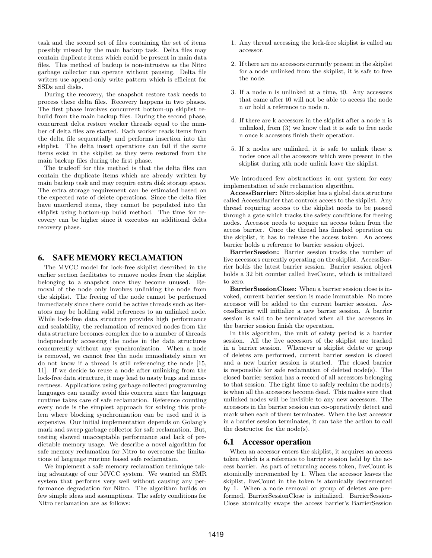task and the second set of files containing the set of items possibly missed by the main backup task. Delta files may contain duplicate items which could be present in main data files. This method of backup is non-intrusive as the Nitro garbage collector can operate without pausing. Delta file writers use append-only write pattern which is efficient for SSDs and disks.

During the recovery, the snapshot restore task needs to process these delta files. Recovery happens in two phases. The first phase involves concurrent bottom-up skiplist rebuild from the main backup files. During the second phase, concurrent delta restore worker threads equal to the number of delta files are started. Each worker reads items from the delta file sequentially and performs insertion into the skiplist. The delta insert operations can fail if the same items exist in the skiplist as they were restored from the main backup files during the first phase.

The tradeoff for this method is that the delta files can contain the duplicate items which are already written by main backup task and may require extra disk storage space. The extra storage requirement can be estimated based on the expected rate of delete operations. Since the delta files have unordered items, they cannot be populated into the skiplist using bottom-up build method. The time for recovery can be higher since it executes an additional delta recovery phase.

## 6. SAFE MEMORY RECLAMATION

The MVCC model for lock-free skiplist described in the earlier section facilitates to remove nodes from the skiplist belonging to a snapshot once they become unused. Removal of the node only involves unlinking the node from the skiplist. The freeing of the node cannot be performed immediately since there could be active threads such as iterators may be holding valid references to an unlinked node. While lock-free data structure provides high performance and scalability, the reclamation of removed nodes from the data structure becomes complex due to a number of threads independently accessing the nodes in the data structures concurrently without any synchronization. When a node is removed, we cannot free the node immediately since we do not know if a thread is still referencing the node [15, 11]. If we decide to reuse a node after unlinking from the lock-free data structure, it may lead to nasty bugs and incorrectness. Applications using garbage collected programming languages can usually avoid this concern since the language runtime takes care of safe reclamation. Reference counting every node is the simplest approach for solving this problem where blocking synchronization can be used and it is expensive. Our initial implementation depends on Golang's mark and sweep garbage collector for safe reclamation. But, testing showed unacceptable performance and lack of predictable memory usage. We describe a novel algorithm for safe memory reclamation for Nitro to overcome the limitations of language runtime based safe reclamation.

We implement a safe memory reclamation technique taking advantage of our MVCC system. We wanted an SMR system that performs very well without causing any performance degradation for Nitro. The algorithm builds on few simple ideas and assumptions. The safety conditions for Nitro reclamation are as follows:

- 1. Any thread accessing the lock-free skiplist is called an accessor.
- 2. If there are no accessors currently present in the skiplist for a node unlinked from the skiplist, it is safe to free the node.
- 3. If a node n is unlinked at a time, t0. Any accessors that came after t0 will not be able to access the node n or hold a reference to node n.
- 4. If there are k accessors in the skiplist after a node n is unlinked, from (3) we know that it is safe to free node n once k accessors finish their operation.
- 5. If x nodes are unlinked, it is safe to unlink these x nodes once all the accessors which were present in the skiplist during xth node unlink leave the skiplist.

We introduced few abstractions in our system for easy implementation of safe reclamation algorithm.

**AccessBarrier:** Nitro skiplist has a global data structure called AccessBarrier that controls access to the skiplist. Any thread requiring access to the skiplist needs to be passed through a gate which tracks the safety conditions for freeing nodes. Accessor needs to acquire an access token from the access barrier. Once the thread has finished operation on the skiplist, it has to release the access token. An access barrier holds a reference to barrier session object.

**BarrierSession:** Barrier session tracks the number of live accessors currently operating on the skiplist. AccessBarrier holds the latest barrier session. Barrier session object holds a 32 bit counter called liveCount, which is initialized to zero.

**BarrierSessionClose:** When a barrier session close is invoked, current barrier session is made immutable. No more accessor will be added to the current barrier session. AccessBarrier will initialize a new barrier session. A barrier session is said to be terminated when all the accessors in the barrier session finish the operation.

In this algorithm, the unit of safety period is a barrier session. All the live accessors of the skiplist are tracked in a barrier session. Whenever a skiplist delete or group of deletes are performed, current barrier session is closed and a new barrier session is started. The closed barrier is responsible for safe reclamation of deleted node(s). The closed barrier session has a record of all accessors belonging to that session. The right time to safely reclaim the node(s) is when all the accessors become dead. This makes sure that unlinked nodes will be invisible to any new accessors. The accessors in the barrier session can co-operatively detect and mark when each of them terminates. When the last accessor in a barrier session terminates, it can take the action to call the destructor for the node(s).

# 6.1 Accessor operation

When an accessor enters the skiplist, it acquires an access token which is a reference to barrier session held by the access barrier. As part of returning access token, liveCount is atomically incremented by 1. When the accessor leaves the skiplist, liveCount in the token is atomically decremented by 1. When a node removal or group of deletes are performed, BarrierSessionClose is initialized. BarrierSession-Close atomically swaps the access barrier's BarrierSession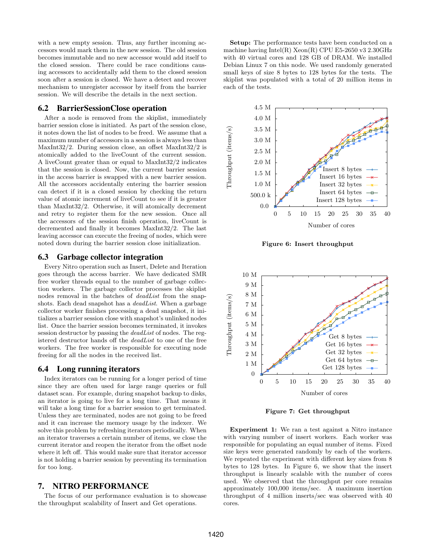with a new empty session. Thus, any further incoming accessors would mark them in the new session. The old session becomes immutable and no new accessor would add itself to the closed session. There could be race conditions causing accessors to accidentally add them to the closed session soon after a session is closed. We have a detect and recover mechanism to unregister accessor by itself from the barrier session. We will describe the details in the next section.

# 6.2 BarrierSessionClose operation

After a node is removed from the skiplist, immediately barrier session close is initiated. As part of the session close, it notes down the list of nodes to be freed. We assume that a maximum number of accessors in a session is always less than MaxInt32/2. During session close, an offset MaxInt32/2 is atomically added to the liveCount of the current session. A liveCount greater than or equal to MaxInt32/2 indicates that the session is closed. Now, the current barrier session in the access barrier is swapped with a new barrier session. All the accessors accidentally entering the barrier session can detect if it is a closed session by checking the return value of atomic increment of liveCount to see if it is greater than MaxInt32/2. Otherwise, it will atomically decrement and retry to register them for the new session. Once all the accessors of the session finish operation, liveCount is decremented and finally it becomes MaxInt32/2. The last leaving accessor can execute the freeing of nodes, which were noted down during the barrier session close initialization.

#### 6.3 Garbage collector integration

Every Nitro operation such as Insert, Delete and Iteration goes through the access barrier. We have dedicated SMR free worker threads equal to the number of garbage collection workers. The garbage collector processes the skiplist nodes removal in the batches of *deadList* from the snapshots. Each dead snapshot has a *deadList*. When a garbage collector worker finishes processing a dead snapshot, it initializes a barrier session close with snapshot's unlinked nodes list. Once the barrier session becomes terminated, it invokes session destructor by passing the *deadList* of nodes. The registered destructor hands off the *deadList* to one of the free workers. The free worker is responsible for executing node freeing for all the nodes in the received list.

#### 6.4 Long running iterators

Index iterators can be running for a longer period of time since they are often used for large range queries or full dataset scan. For example, during snapshot backup to disks, an iterator is going to live for a long time. That means it will take a long time for a barrier session to get terminated. Unless they are terminated, nodes are not going to be freed and it can increase the memory usage by the indexer. We solve this problem by refreshing iterators periodically. When an iterator traverses a certain number of items, we close the current iterator and reopen the iterator from the offset node where it left off. This would make sure that iterator accessor is not holding a barrier session by preventing its termination for too long.

# 7. NITRO PERFORMANCE

The focus of our performance evaluation is to showcase the throughput scalability of Insert and Get operations.

**Setup:** The performance tests have been conducted on a machine having  $Intel(R)$  Xeon(R) CPU E5-2650 v3 2.30GHz with 40 virtual cores and 128 GB of DRAM. We installed Debian Linux 7 on this node. We used randomly generated small keys of size 8 bytes to 128 bytes for the tests. The skiplist was populated with a total of 20 million items in each of the tests.



**Figure 6: Insert throughput**



**Figure 7: Get throughput**

**Experiment 1:** We ran a test against a Nitro instance with varying number of insert workers. Each worker was responsible for populating an equal number of items. Fixed size keys were generated randomly by each of the workers. We repeated the experiment with different key sizes from 8 bytes to 128 bytes. In Figure 6, we show that the insert throughput is linearly scalable with the number of cores used. We observed that the throughput per core remains approximately 100,000 items/sec. A maximum insertion throughput of 4 million inserts/sec was observed with 40 cores.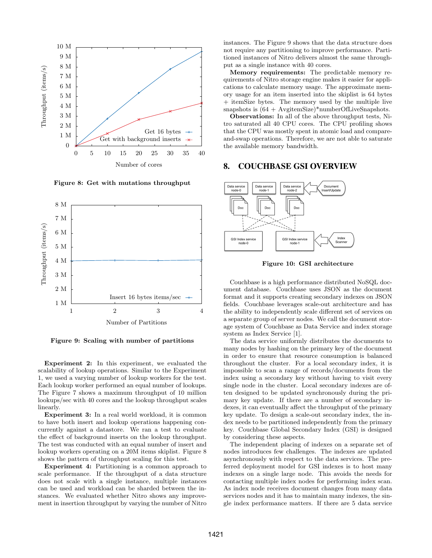

**Figure 8: Get with mutations throughput**



**Figure 9: Scaling with number of partitions**

**Experiment 2:** In this experiment, we evaluated the scalability of lookup operations. Similar to the Experiment 1, we used a varying number of lookup workers for the test. Each lookup worker performed an equal number of lookups. The Figure 7 shows a maximum throughput of 10 million lookups/sec with 40 cores and the lookup throughput scales linearly.

**Experiment 3:** In a real world workload, it is common to have both insert and lookup operations happening concurrently against a datastore. We ran a test to evaluate the effect of background inserts on the lookup throughput. The test was conducted with an equal number of insert and lookup workers operating on a 20M items skiplist. Figure 8 shows the pattern of throughput scaling for this test.

**Experiment 4:** Partitioning is a common approach to scale performance. If the throughput of a data structure does not scale with a single instance, multiple instances can be used and workload can be sharded between the instances. We evaluated whether Nitro shows any improvement in insertion throughput by varying the number of Nitro instances. The Figure 9 shows that the data structure does not require any partitioning to improve performance. Partitioned instances of Nitro delivers almost the same throughput as a single instance with 40 cores.

**Memory requirements:** The predictable memory requirements of Nitro storage engine makes it easier for applications to calculate memory usage. The approximate memory usage for an item inserted into the skiplist is 64 bytes + itemSize bytes. The memory used by the multiple live snapshots is  $(64 + \text{AyitemSize})^*$ numberOfLiveSnapshots.

**Observations:** In all of the above throughput tests, Nitro saturated all 40 CPU cores. The CPU profiling shows that the CPU was mostly spent in atomic load and compareand-swap operations. Therefore, we are not able to saturate the available memory bandwidth.

# 8. COUCHBASE GSI OVERVIEW



**Figure 10: GSI architecture**

Couchbase is a high performance distributed NoSQL document database. Couchbase uses JSON as the document format and it supports creating secondary indexes on JSON fields. Couchbase leverages scale-out architecture and has the ability to independently scale different set of services on a separate group of server nodes. We call the document storage system of Couchbase as Data Service and index storage system as Index Service [1].

The data service uniformly distributes the documents to many nodes by hashing on the primary key of the document in order to ensure that resource consumption is balanced throughout the cluster. For a local secondary index, it is impossible to scan a range of records/documents from the index using a secondary key without having to visit every single node in the cluster. Local secondary indexes are often designed to be updated synchronously during the primary key update. If there are a number of secondary indexes, it can eventually affect the throughput of the primary key update. To design a scale-out secondary index, the index needs to be partitioned independently from the primary key. Couchbase Global Secondary Index (GSI) is designed by considering these aspects.

The independent placing of indexes on a separate set of nodes introduces few challenges. The indexes are updated asynchronously with respect to the data services. The preferred deployment model for GSI indexes is to host many indexes on a single large node. This avoids the needs for contacting multiple index nodes for performing index scan. As index node receives document changes from many data services nodes and it has to maintain many indexes, the single index performance matters. If there are 5 data service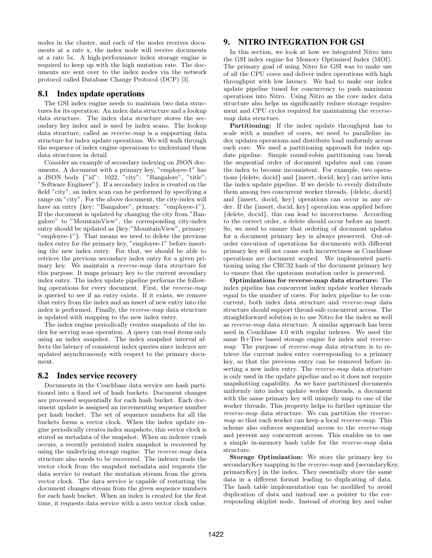nodes in the cluster, and each of the nodes receives documents at a rate x, the index node will receive documents at a rate 5x. A high-performance index storage engine is required to keep up with the high mutation rate. The documents are sent over to the index nodes via the network protocol called Database Change Protocol (DCP) [3].

### 8.1 Index update operations

The GSI index engine needs to maintain two data structures for its operation. An index data structure and a lookup data structure. The index data structure stores the secondary key index and is used by index scans. The lookup data structure, called as *reverse-map* is a supporting data structure for index update operations. We will walk through the sequence of index engine operations to understand these data structures in detail.

Consider an example of secondary indexing on JSON documents. A document with a primary key, "employee-1" has a JSON body *{*"id": 1022, "city": "Bangalore", "title": "Software Engineer"*}*. If a secondary index is created on the field "city", an index scan can be performed by specifying a range on "city". For the above document, the city-index will have an entry  $\{key: "Bangalore", primary: "employee-1"\}.$ If the document is updated by changing the city from "Bangalore" to "MountainView", the corresponding city-index entry should be updated as *{*key:"MountainView", primary: "employee-1"*}*. That means we need to delete the previous index entry for the primary key, "employee-1" before inserting the new index entry. For that, we should be able to retrieve the previous secondary index entry for a given primary key. We maintain a *reverse-map* data structure for this purpose. It maps primary key to the current secondary index entry. The index update pipeline performs the following operations for every document. First, the *reverse-map* is queried to see if an entry exists. If it exists, we remove that entry from the index and an insert of new entry into the index is performed. Finally, the *reverse-map* data structure is updated with mapping to the new index entry.

The index engine periodically creates snapshots of the index for serving scan operation. A query can read items only using an index snapshot. The index snapshot interval affects the latency of consistent index queries since indexes are updated asynchronously with respect to the primary document.

## 8.2 Index service recovery

Documents in the Couchbase data service are hash partitioned into a fixed set of hash buckets. Document changes are processed sequentially for each hash bucket. Each document update is assigned an incrementing sequence number per hash bucket. The set of sequence numbers for all the buckets forms a vector clock. When the index update engine periodically creates index snapshots, this vector clock is stored as metadata of the snapshot. When an indexer crash occurs, a recently persisted index snapshot is recovered by using the underlying storage engine. The *reverse-map* data structure also needs to be recovered. The indexer reads the vector clock from the snapshot metadata and requests the data service to restart the mutation stream from the given vector clock. The data service is capable of restarting the document changes stream from the given sequence numbers for each hash bucket. When an index is created for the first time, it requests data service with a zero vector clock value.

# 9. NITRO INTEGRATION FOR GSI

In this section, we look at how we integrated Nitro into the GSI index engine for Memory Optimized Index (MOI). The primary goal of using Nitro for GSI was to make use of all the CPU cores and deliver index operations with high throughput with low latency. We had to make our index update pipeline tuned for concurrency to push maximum operations into Nitro. Using Nitro as the core index data structure also helps us significantly reduce storage requirement and CPU cycles required for maintaining the *reversemap* data structure.

**Partitioning:** If the index update throughput has to scale with a number of cores, we need to parallelize index updates operations and distribute load uniformly across each core. We used a partitioning approach for index update pipeline. Simple round-robin partitioning can break the sequential order of document updates and can cause the index to become inconsistent. For example, two operations *{*delete, docid*}* and *{*insert, docid, key*}* can arrive into the index update pipeline. If we decide to evenly distribute them among two concurrent worker threads, *{*delete, docid*}* and *{*insert, docid, key*}* operations can occur in any order. If the *{*insert, docid, key*}* operation was applied before *{*delete, docid*}*, this can lead to incorrectness. According to the correct order, a delete should occur before an insert. So, we need to ensure that ordering of document updates for a document primary key is always preserved. Out-oforder execution of operations for documents with different primary key will not cause such incorrectness as Couchbase operations are document scoped. We implemented partitioning using the CRC32 hash of the document primary key to ensure that the upstream mutation order is preserved.

**Optimizations for reverse-map data structure:** The index pipeline has concurrent index update worker threads equal to the number of cores. For index pipeline to be concurrent, both index data structure and *reverse-map* data structure should support thread-safe concurrent access. The straightforward solution is to use Nitro for the index as well as *reverse-map* data structure. A similar approach has been used in Couchbase 4.0 with regular indexes. We used the same B+Tree based storage engine for index and *reversemap*. The purpose of *reverse-map* data structure is to retrieve the current index entry corresponding to a primary key, so that the previous entry can be removed before inserting a new index entry. The *reverse-map* data structure is only used in the update pipeline and so it does not require snapshotting capability. As we have partitioned documents uniformly into index update worker threads, a document with the same primary key will uniquely map to one of the worker threads. This property helps to further optimize the *reverse-map* data structure. We can partition the *reversemap* so that each worker can keep a local *reverse-map*. This scheme also enforces sequential access to the *reverse-map* and prevent any concurrent access. This enables us to use a simple in-memory hash table for the *reverse-map* data structure.

**Storage Optimization:** We store the primary key to secondaryKey mapping in the *reverse-map* and *{*secondaryKey, primaryKey*}* in the index. They essentially store the same data in a different format leading to duplicating of data. The hash table implementation can be modified to avoid duplication of data and instead use a pointer to the corresponding skiplist node. Instead of storing key and value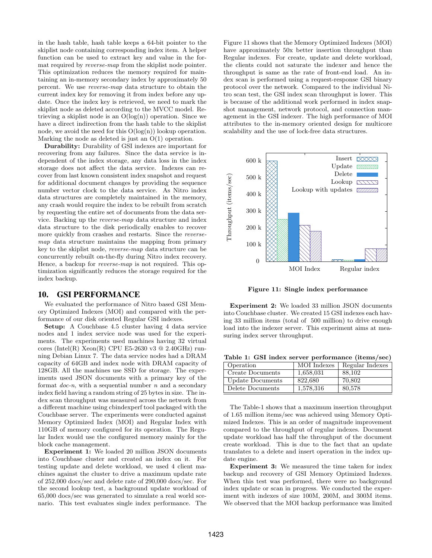in the hash table, hash table keeps a 64-bit pointer to the skiplist node containing corresponding index item. A helper function can be used to extract key and value in the format required by *reverse-map* from the skiplist node pointer. This optimization reduces the memory required for maintaining an in-memory secondary index by approximately 50 percent. We use *reverse-map* data structure to obtain the current index key for removing it from index before any update. Once the index key is retrieved, we need to mark the skiplist node as deleted according to the MVCC model. Retrieving a skiplist node is an  $O(log(n))$  operation. Since we have a direct indirection from the hash table to the skiplist node, we avoid the need for this  $O(log(n))$  lookup operation. Marking the node as deleted is just an O(1) operation.

**Durability:** Durability of GSI indexes are important for recovering from any failures. Since the data service is independent of the index storage, any data loss in the index storage does not affect the data service. Indexes can recover from last known consistent index snapshot and request for additional document changes by providing the sequence number vector clock to the data service. As Nitro index data structures are completely maintained in the memory, any crash would require the index to be rebuilt from scratch by requesting the entire set of documents from the data service. Backing up the *reverse-map* data structure and index data structure to the disk periodically enables to recover more quickly from crashes and restarts. Since the *reversemap* data structure maintains the mapping from primary key to the skiplist node, *reverse-map* data structure can be concurrently rebuilt on-the-fly during Nitro index recovery. Hence, a backup for *reverse-map* is not required. This optimization significantly reduces the storage required for the index backup.

#### 10. GSI PERFORMANCE

We evaluated the performance of Nitro based GSI Memory Optimized Indexes (MOI) and compared with the performance of our disk oriented Regular GSI indexes.

**Setup:** A Couchbase 4.5 cluster having 4 data service nodes and 1 index service node was used for the experiments. The experiments used machines having 32 virtual cores (Intel(R) Xeon(R) CPU E5-2630 v3 @ 2.40GHz) running Debian Linux 7. The data service nodes had a DRAM capacity of 64GB and index node with DRAM capacity of 128GB. All the machines use SSD for storage. The experiments used JSON documents with a primary key of the format *doc-n*, with a sequential number *n* and a secondary index field having a random string of 25 bytes in size. The index scan throughput was measured across the network from a different machine using cbindexperf tool packaged with the Couchbase server. The experiments were conducted against Memory Optimized Index (MOI) and Regular Index with 110GB of memory configured for its operation. The Regular Index would use the configured memory mainly for the block cache management.

**Experiment 1:** We loaded 20 million JSON documents into Couchbase cluster and created an index on it. For testing update and delete workload, we used 4 client machines against the cluster to drive a maximum update rate of 252,000 docs/sec and delete rate of 290,000 docs/sec. For the second lookup test, a background update workload of 65,000 docs/sec was generated to simulate a real world scenario. This test evaluates single index performance. The

Figure 11 shows that the Memory Optimized Indexes (MOI) have approximately  $50x$  better insertion throughput than Regular indexes. For create, update and delete workload, the clients could not saturate the indexer and hence the throughput is same as the rate of front-end load. An index scan is performed using a request-response GSI binary protocol over the network. Compared to the individual Nitro scan test, the GSI index scan throughput is lower. This is because of the additional work performed in index snapshot management, network protocol, and connection management in the GSI indexer. The high performance of MOI attributes to the in-memory oriented design for multicore scalability and the use of lock-free data structures.



**Figure 11: Single index performance**

**Experiment 2:** We loaded 33 million JSON documents into Couchbase cluster. We created 15 GSI indexes each having 33 million items (total of 500 million) to drive enough load into the indexer server. This experiment aims at measuring index server throughput.

**Table 1: GSI index server performance (items/sec)**

| Operation        | MOI Indexes | Regular Indexes |
|------------------|-------------|-----------------|
| Create Documents | 1,658,031   | 88,102          |
| Update Documents | 822,680     | 70,802          |
| Delete Documents | 1,578,316   | 80,578          |

The Table-1 shows that a maximum insertion throughput of 1.65 million items/sec was achieved using Memory Optimized Indexes. This is an order of magnitude improvement compared to the throughput of regular indexes. Document update workload has half the throughput of the document create workload. This is due to the fact that an update translates to a delete and insert operation in the index update engine.

**Experiment 3:** We measured the time taken for index backup and recovery of GSI Memory Optimized Indexes. When this test was performed, there were no background index update or scan in progress. We conducted the experiment with indexes of size 100M, 200M, and 300M items. We observed that the MOI backup performance was limited